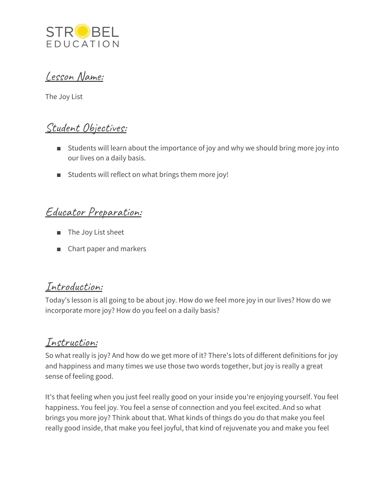

## Lesson Name:

The Joy List

# Student Objectives:

- Students will learn about the importance of joy and why we should bring more joy into our lives on a daily basis.
- Students will reflect on what brings them more joy!

# Educator Preparation:

- The Joy List sheet
- Chart paper and markers

## Introduction:

Today's lesson is all going to be about joy. How do we feel more joy in our lives? How do we incorporate more joy? How do you feel on a daily basis?

# Instruction:

So what really is joy? And how do we get more of it? There's lots of different definitions for joy and happiness and many times we use those two words together, but joy is really a great sense of feeling good.

It's that feeling when you just feel really good on your inside you're enjoying yourself. You feel happiness. You feel joy. You feel a sense of connection and you feel excited. And so what brings you more joy? Think about that. What kinds of things do you do that make you feel really good inside, that make you feel joyful, that kind of rejuvenate you and make you feel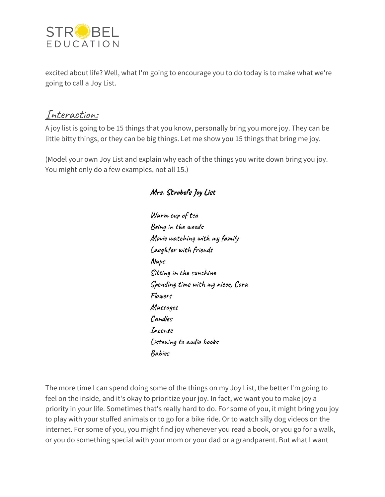

excited about life? Well, what I'm going to encourage you to do today is to make what we're going to call a Joy List.

## Interaction:

A joy list is going to be 15 things that you know, personally bring you more joy. They can be little bitty things, or they can be big things. Let me show you 15 things that bring me joy.

(Model your own Joy List and explain why each of the things you write down bring you joy. You might only do a few examples, not all 15.)

#### Warm cup of tea Being in the woods Movie watching with my family Laughter with friends Naps Sitting in the sunshine Spending time with my niece, Cora Flowers Massages Candles Incense Listening to audio books Babies

The more time I can spend doing some of the things on my Joy List, the better I'm going to feel on the inside, and it's okay to prioritize your joy. In fact, we want you to make joy a priority in your life. Sometimes that's really hard to do. For some of you, it might bring you joy to play with your stuffed animals or to go for a bike ride. Or to watch silly dog videos on the internet. For some of you, you might find joy whenever you read a book, or you go for a walk, or you do something special with your mom or your dad or a grandparent. But what I want

#### Mrs. Strobel's Joy List